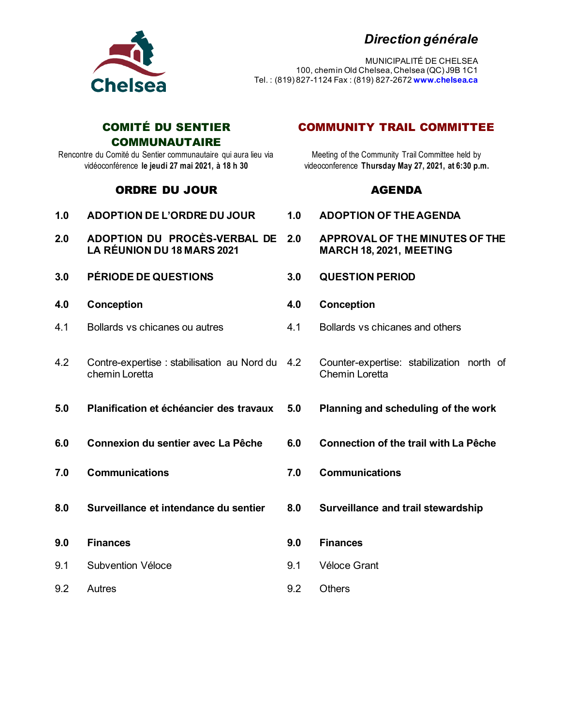## *Direction générale*



MUNICIPALITÉ DE CHELSEA 100, chemin Old Chelsea, Chelsea (QC) J9B 1C1 Tel. : (819) 827-1124 Fax : (819) 827-2672 **www.chelsea.ca**

### COMITÉ DU SENTIER **COMMUNAUTAIRE**

Rencontre du Comité du Sentier communautaire qui aura lieu via vidéoconférence **le jeudi 27 mai 2021, à 18 h 30**

## ORDRE DU JOUR AGENDA

| 1.0 | <b>ADOPTION DE L'ORDRE DU JOUR</b>                                | 1.0 | <b>ADOPTION OF THE</b>                              |
|-----|-------------------------------------------------------------------|-----|-----------------------------------------------------|
| 2.0 | ADOPTION DU PROCÈS-VERBAL DE<br><b>LA RÉUNION DU 18 MARS 2021</b> | 2.0 | <b>APPROVAL OF THE</b><br><b>MARCH 18, 2021, MI</b> |
| 3.0 | <b>PÉRIODE DE QUESTIONS</b>                                       | 3.0 | <b>QUESTION PERIOD</b>                              |
| 4.0 | Conception                                                        | 4.0 | Conception                                          |
| 4.1 | Bollards vs chicanes ou autres                                    | 4.1 | <b>Bollards vs chicanes</b>                         |
| 4.2 | Contre-expertise: stabilisation au Nord du<br>chemin Loretta      | 4.2 | Counter-expertise: st<br><b>Chemin Loretta</b>      |
| 5.0 | Planification et échéancier des travaux                           | 5.0 | <b>Planning and sched</b>                           |
| 6.0 | Connexion du sentier avec La Pêche                                | 6.0 | <b>Connection of the tr</b>                         |
| 7.0 | <b>Communications</b>                                             | 7.0 | <b>Communications</b>                               |
| 8.0 | Surveillance et intendance du sentier                             | 8.0 | <b>Surveillance and tra</b>                         |
| 9.0 | <b>Finances</b>                                                   | 9.0 | <b>Finances</b>                                     |
| 9.1 | Subvention Véloce                                                 | 9.1 | Véloce Grant                                        |
| 9.2 | Autres                                                            | 9.2 | <b>Others</b>                                       |

## COMMUNITY TRAIL COMMITTEE

Meeting of the Community Trail Committee held by videoconference **Thursday May 27, 2021, at 6:30 p.m.**

- **1.0 ADOPTION DE L'ORDRE DU JOUR 1.0 ADOPTION OF THE AGENDA**
- **2.0F THE MINUTES OF THE MARCH 18, 2021, MEETING**
- 
- 
- chicanes and others
	- ertise: stabilization north of etta
- **6.0 Reduling of the work**
- **6.00 Connective during the trail with La Pêche**
- 
- **8.0 and trail stewardship**
- Véloce Grant
- 9.2 Others